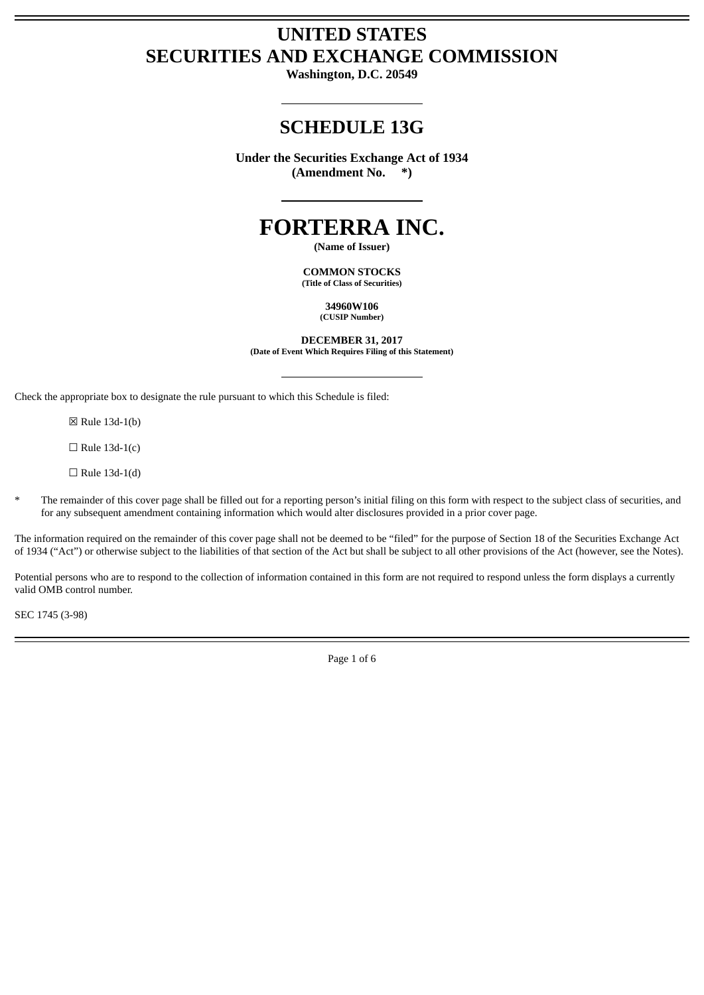# **UNITED STATES SECURITIES AND EXCHANGE COMMISSION**

**Washington, D.C. 20549**

# **SCHEDULE 13G**

**Under the Securities Exchange Act of 1934 (Amendment No. \*)**

# **FORTERRA INC.**

**(Name of Issuer)**

**COMMON STOCKS (Title of Class of Securities)**

> **34960W106 (CUSIP Number)**

**DECEMBER 31, 2017 (Date of Event Which Requires Filing of this Statement)**

Check the appropriate box to designate the rule pursuant to which this Schedule is filed:

☒ Rule 13d-1(b)

 $\Box$  Rule 13d-1(c)

 $\Box$  Rule 13d-1(d)

The remainder of this cover page shall be filled out for a reporting person's initial filing on this form with respect to the subject class of securities, and for any subsequent amendment containing information which would alter disclosures provided in a prior cover page.

The information required on the remainder of this cover page shall not be deemed to be "filed" for the purpose of Section 18 of the Securities Exchange Act of 1934 ("Act") or otherwise subject to the liabilities of that section of the Act but shall be subject to all other provisions of the Act (however, see the Notes).

Potential persons who are to respond to the collection of information contained in this form are not required to respond unless the form displays a currently valid OMB control number.

SEC 1745 (3-98)

Page 1 of 6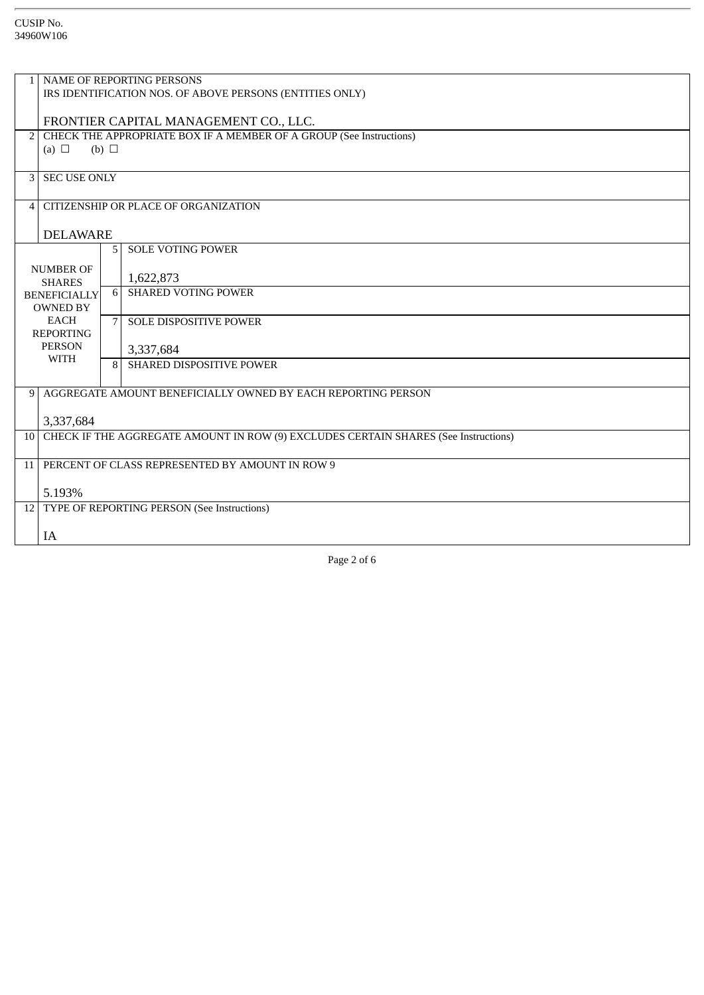|                     | NAME OF REPORTING PERSONS                                                              |                |                               |
|---------------------|----------------------------------------------------------------------------------------|----------------|-------------------------------|
|                     | IRS IDENTIFICATION NOS. OF ABOVE PERSONS (ENTITIES ONLY)                               |                |                               |
|                     |                                                                                        |                |                               |
|                     | FRONTIER CAPITAL MANAGEMENT CO., LLC.                                                  |                |                               |
| $\overline{2}$      | CHECK THE APPROPRIATE BOX IF A MEMBER OF A GROUP (See Instructions)                    |                |                               |
|                     | (a) $\Box$<br>(b) $\Box$                                                               |                |                               |
|                     |                                                                                        |                |                               |
|                     | <b>3 SEC USE ONLY</b>                                                                  |                |                               |
|                     |                                                                                        |                |                               |
|                     | CITIZENSHIP OR PLACE OF ORGANIZATION<br>4                                              |                |                               |
|                     |                                                                                        |                |                               |
|                     | <b>DELAWARE</b>                                                                        |                |                               |
|                     |                                                                                        | 5 <sup>1</sup> | <b>SOLE VOTING POWER</b>      |
|                     |                                                                                        |                |                               |
| <b>NUMBER OF</b>    |                                                                                        |                | 1,622,873                     |
|                     | <b>SHARES</b>                                                                          | 6 <sup>1</sup> | <b>SHARED VOTING POWER</b>    |
| <b>BENEFICIALLY</b> |                                                                                        |                |                               |
|                     | OWNED BY                                                                               |                |                               |
|                     | <b>EACH</b>                                                                            | 7 <sup>1</sup> | <b>SOLE DISPOSITIVE POWER</b> |
|                     | <b>REPORTING</b>                                                                       |                |                               |
|                     | <b>PERSON</b><br><b>WITH</b>                                                           |                | 3,337,684                     |
|                     |                                                                                        | $\mathsf{R}$   | SHARED DISPOSITIVE POWER      |
|                     |                                                                                        |                |                               |
|                     | 9 AGGREGATE AMOUNT BENEFICIALLY OWNED BY EACH REPORTING PERSON                         |                |                               |
|                     |                                                                                        |                |                               |
|                     | 3,337,684                                                                              |                |                               |
|                     | 10 CHECK IF THE AGGREGATE AMOUNT IN ROW (9) EXCLUDES CERTAIN SHARES (See Instructions) |                |                               |
|                     |                                                                                        |                |                               |
| 11                  | PERCENT OF CLASS REPRESENTED BY AMOUNT IN ROW 9                                        |                |                               |
|                     |                                                                                        |                |                               |
|                     | 5.193%                                                                                 |                |                               |
|                     | 12 TYPE OF REPORTING PERSON (See Instructions)                                         |                |                               |
|                     |                                                                                        |                |                               |
|                     | IA                                                                                     |                |                               |
|                     |                                                                                        |                |                               |

Page 2 of 6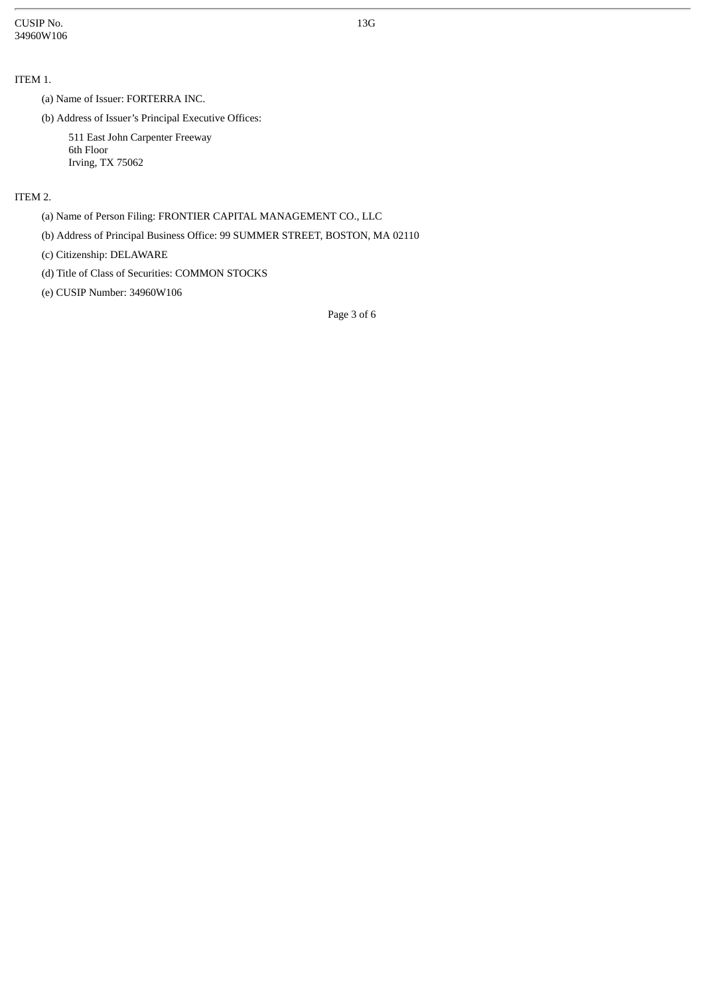CUSIP No. 34960W106

# ITEM 1.

(a) Name of Issuer: FORTERRA INC.

(b) Address of Issuer's Principal Executive Offices:

511 East John Carpenter Freeway 6th Floor Irving, TX 75062

# ITEM 2.

(a) Name of Person Filing: FRONTIER CAPITAL MANAGEMENT CO., LLC

(b) Address of Principal Business Office: 99 SUMMER STREET, BOSTON, MA 02110

(c) Citizenship: DELAWARE

(d) Title of Class of Securities: COMMON STOCKS

(e) CUSIP Number: 34960W106

Page 3 of 6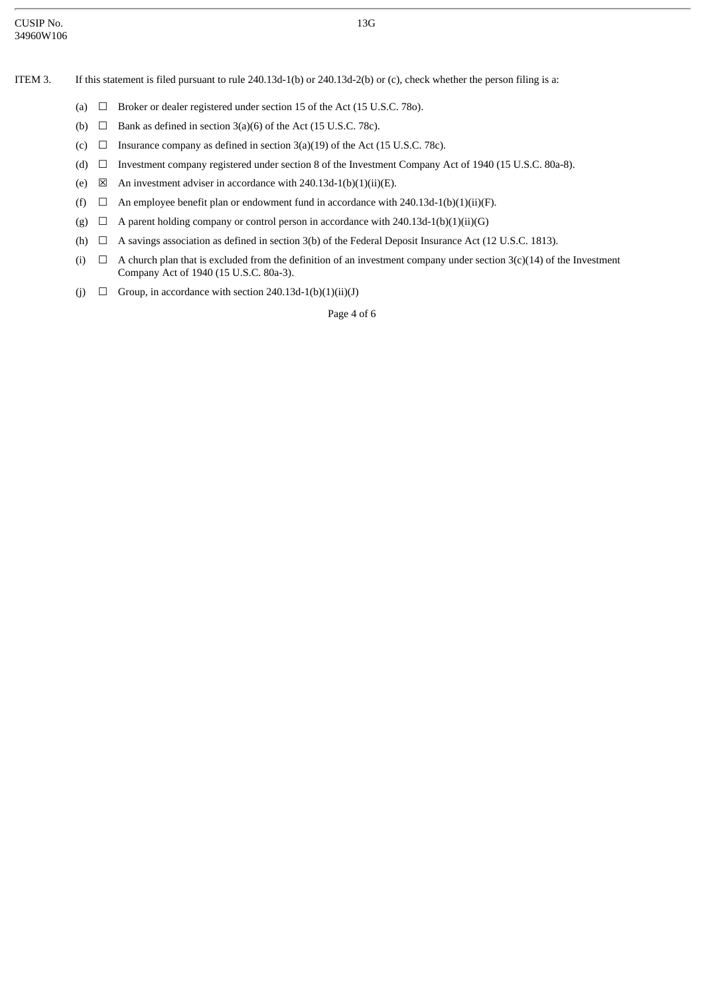13G

- ITEM 3. If this statement is filed pursuant to rule 240.13d-1(b) or 240.13d-2(b) or (c), check whether the person filing is a:
	- (a)  $\Box$  Broker or dealer registered under section 15 of the Act (15 U.S.C. 780).
	- (b)  $\Box$  Bank as defined in section 3(a)(6) of the Act (15 U.S.C. 78c).
	- (c)  $\Box$  Insurance company as defined in section 3(a)(19) of the Act (15 U.S.C. 78c).
	- (d) ☐ Investment company registered under section 8 of the Investment Company Act of 1940 (15 U.S.C. 80a-8).
	- (e)  $\boxtimes$  An investment adviser in accordance with 240.13d-1(b)(1)(ii)(E).
	- (f)  $\Box$  An employee benefit plan or endowment fund in accordance with 240.13d-1(b)(1)(ii)(F).
	- (g)  $\Box$  A parent holding company or control person in accordance with 240.13d-1(b)(1)(ii)(G)
	- (h)  $\Box$  A savings association as defined in section 3(b) of the Federal Deposit Insurance Act (12 U.S.C. 1813).
	- (i)  $\Box$  A church plan that is excluded from the definition of an investment company under section 3(c)(14) of the Investment Company Act of 1940 (15 U.S.C. 80a-3).
	- (j)  $\Box$  Group, in accordance with section 240.13d-1(b)(1)(ii)(J)

Page 4 of 6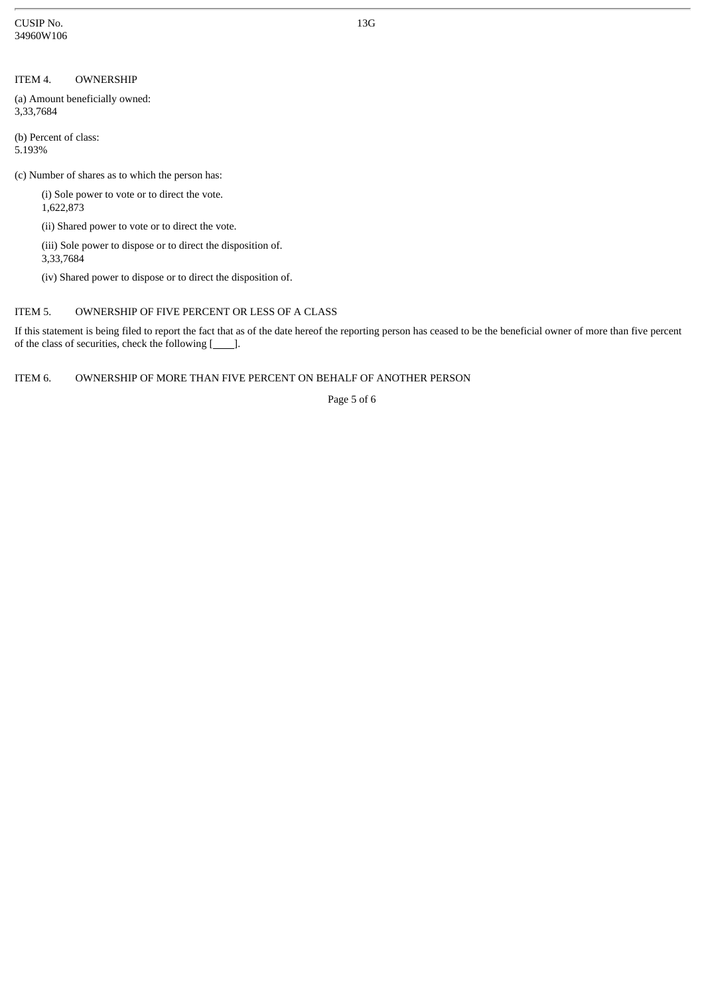CUSIP No. 34960W106

#### ITEM 4. OWNERSHIP

(a) Amount beneficially owned: 3,33,7684

(b) Percent of class: 5.193%

(c) Number of shares as to which the person has:

(i) Sole power to vote or to direct the vote. 1,622,873

(ii) Shared power to vote or to direct the vote.

(iii) Sole power to dispose or to direct the disposition of. 3,33,7684

(iv) Shared power to dispose or to direct the disposition of.

### ITEM 5. OWNERSHIP OF FIVE PERCENT OR LESS OF A CLASS

If this statement is being filed to report the fact that as of the date hereof the reporting person has ceased to be the beneficial owner of more than five percent of the class of securities, check the following [*\_\_\_\_*].

ITEM 6. OWNERSHIP OF MORE THAN FIVE PERCENT ON BEHALF OF ANOTHER PERSON

Page 5 of 6